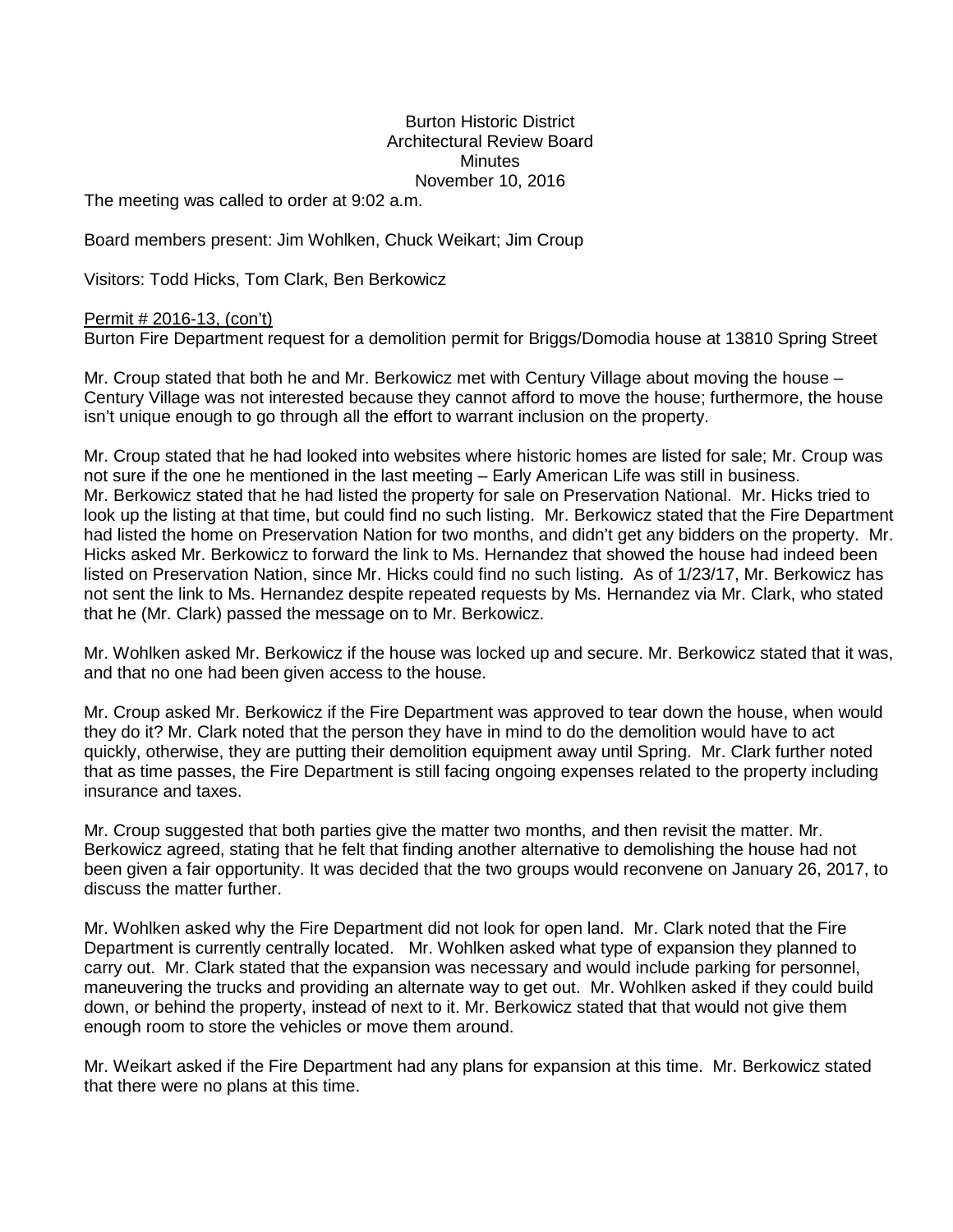## Burton Historic District Architectural Review Board **Minutes** November 10, 2016

The meeting was called to order at 9:02 a.m.

Board members present: Jim Wohlken, Chuck Weikart; Jim Croup

Visitors: Todd Hicks, Tom Clark, Ben Berkowicz

## Permit # 2016-13, (con't)

Burton Fire Department request for a demolition permit for Briggs/Domodia house at 13810 Spring Street

Mr. Croup stated that both he and Mr. Berkowicz met with Century Village about moving the house – Century Village was not interested because they cannot afford to move the house; furthermore, the house isn't unique enough to go through all the effort to warrant inclusion on the property.

Mr. Croup stated that he had looked into websites where historic homes are listed for sale; Mr. Croup was not sure if the one he mentioned in the last meeting – Early American Life was still in business. Mr. Berkowicz stated that he had listed the property for sale on Preservation National. Mr. Hicks tried to look up the listing at that time, but could find no such listing. Mr. Berkowicz stated that the Fire Department had listed the home on Preservation Nation for two months, and didn't get any bidders on the property. Mr. Hicks asked Mr. Berkowicz to forward the link to Ms. Hernandez that showed the house had indeed been listed on Preservation Nation, since Mr. Hicks could find no such listing. As of 1/23/17, Mr. Berkowicz has not sent the link to Ms. Hernandez despite repeated requests by Ms. Hernandez via Mr. Clark, who stated that he (Mr. Clark) passed the message on to Mr. Berkowicz.

Mr. Wohlken asked Mr. Berkowicz if the house was locked up and secure. Mr. Berkowicz stated that it was, and that no one had been given access to the house.

Mr. Croup asked Mr. Berkowicz if the Fire Department was approved to tear down the house, when would they do it? Mr. Clark noted that the person they have in mind to do the demolition would have to act quickly, otherwise, they are putting their demolition equipment away until Spring. Mr. Clark further noted that as time passes, the Fire Department is still facing ongoing expenses related to the property including insurance and taxes.

Mr. Croup suggested that both parties give the matter two months, and then revisit the matter. Mr. Berkowicz agreed, stating that he felt that finding another alternative to demolishing the house had not been given a fair opportunity. It was decided that the two groups would reconvene on January 26, 2017, to discuss the matter further.

Mr. Wohlken asked why the Fire Department did not look for open land. Mr. Clark noted that the Fire Department is currently centrally located. Mr. Wohlken asked what type of expansion they planned to carry out. Mr. Clark stated that the expansion was necessary and would include parking for personnel, maneuvering the trucks and providing an alternate way to get out. Mr. Wohlken asked if they could build down, or behind the property, instead of next to it. Mr. Berkowicz stated that that would not give them enough room to store the vehicles or move them around.

Mr. Weikart asked if the Fire Department had any plans for expansion at this time. Mr. Berkowicz stated that there were no plans at this time.